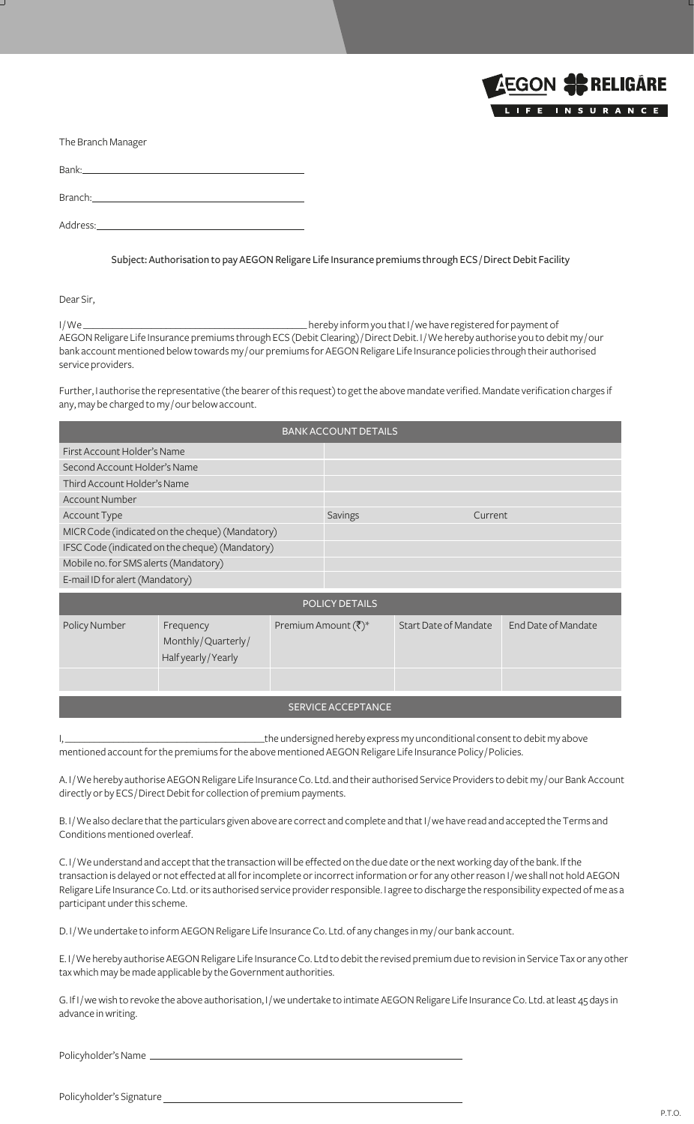

|  |  | The Branch Manager |
|--|--|--------------------|
|--|--|--------------------|

Bank: Branch: Address:

Subject: Authorisation to pay AEGON Religare Life Insurance premiums through ECS / Direct Debit Facility

Dear Sir,

I / We \_\_\_\_\_\_\_\_\_\_\_\_\_\_\_\_\_\_\_\_\_\_\_\_\_\_\_\_\_\_\_\_\_\_\_\_\_\_\_\_\_\_\_\_\_\_ hereby inform you that I / we have registered for payment of AEGON Religare Life Insurance premiums through ECS (Debit Clearing) / Direct Debit. I / We hereby authorise you to debit my / our bank account mentioned below towards my / our premiums for AEGON Religare Life Insurance policies through their authorised service providers.

Further, I authorise the representative (the bearer of this request) to get the above mandate verified. Mandate verification charges if any, may be charged to my / our below account.

| <b>BANK ACCOUNT DETAILS</b>                     |         |         |  |  |
|-------------------------------------------------|---------|---------|--|--|
| First Account Holder's Name                     |         |         |  |  |
| Second Account Holder's Name                    |         |         |  |  |
| Third Account Holder's Name                     |         |         |  |  |
| Account Number                                  |         |         |  |  |
| Account Type                                    | Savings | Current |  |  |
| MICR Code (indicated on the cheque) (Mandatory) |         |         |  |  |
| IFSC Code (indicated on the cheque) (Mandatory) |         |         |  |  |
| Mobile no. for SMS alerts (Mandatory)           |         |         |  |  |
| E-mail ID for alert (Mandatory)                 |         |         |  |  |
| DOLICY DETAILS                                  |         |         |  |  |

| <b>POLICY DETAILS</b> |                                                       |                           |                       |                     |
|-----------------------|-------------------------------------------------------|---------------------------|-----------------------|---------------------|
| Policy Number         | Frequency<br>Monthly/Quarterly/<br>Half yearly/Yearly | Premium Amount (₹)*       | Start Date of Mandate | End Date of Mandate |
|                       |                                                       |                           |                       |                     |
|                       |                                                       | <b>SERVICE ACCEPTANCE</b> |                       |                     |

If the undersigned hereby express my unconditional consent to debit my above mentioned account for the premiums for the above mentioned AEGON Religare Life Insurance Policy / Policies.

A. I / We hereby authorise AEGON Religare Life Insurance Co. Ltd. and their authorised Service Providers to debit my / our Bank Account directly or by ECS / Direct Debit for collection of premium payments.

B. I / We also declare that the particulars given above are correct and complete and that I / we have read and accepted the Terms and Conditions mentioned overleaf.

C. I / We understand and accept that the transaction will be effected on the due date or the next working day of the bank. If the transaction is delayed or not effected at all for incomplete or incorrect information or for any other reason I / we shall not hold AEGON Religare Life Insurance Co. Ltd. or its authorised service provider responsible. I agree to discharge the responsibility expected of me as a participant under this scheme.

D. I/We undertake to inform AEGON Religare Life Insurance Co. Ltd. of any changes in my/our bank account.

E. I / We hereby authorise AEGON Religare Life Insurance Co. Ltd to debit the revised premium due to revision in Service Tax or any other tax which may be made applicable by the Government authorities.

G. If I / we wish to revoke the above authorisation, I / we undertake to intimate AEGON Religare Life Insurance Co. Ltd. at least 45 days in advance in writing.

Policyholder's Name